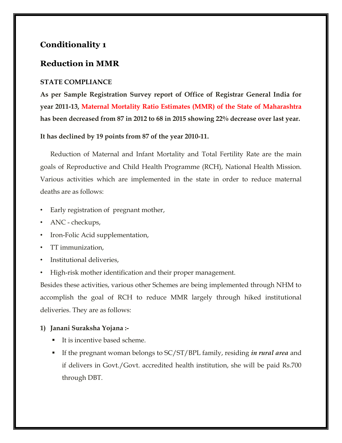# **Conditionality 1**

## **Reduction in MMR**

### **STATE COMPLIANCE**

**As per Sample Registration Survey report of Office of Registrar General India for year 2011-13, Maternal Mortality Ratio Estimates (MMR) of the State of Maharashtra has been decreased from 87 in 2012 to 68 in 2015 showing 22% decrease over last year.** 

**It has declined by 19 points from 87 of the year 2010-11.** 

Reduction of Maternal and Infant Mortality and Total Fertility Rate are the main goals of Reproductive and Child Health Programme (RCH), National Health Mission. Various activities which are implemented in the state in order to reduce maternal deaths are as follows:

- Early registration of pregnant mother,
- ANC checkups,
- Iron-Folic Acid supplementation,
- TT immunization,
- Institutional deliveries,
- High-risk mother identification and their proper management.

Besides these activities, various other Schemes are being implemented through NHM to accomplish the goal of RCH to reduce MMR largely through hiked institutional deliveries. They are as follows:

### **1) Janani Suraksha Yojana :-**

- It is incentive based scheme.
- If the pregnant woman belongs to SC/ST/BPL family, residing *in rural area* and if delivers in Govt./Govt. accredited health institution, she will be paid Rs.700 through DBT.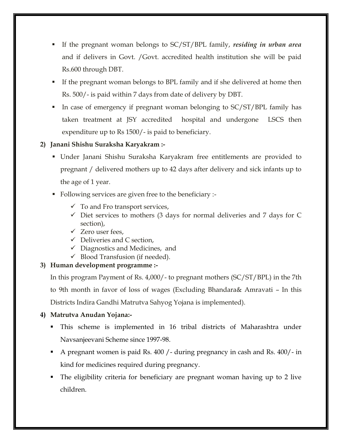- If the pregnant woman belongs to SC/ST/BPL family, *residing in urban area* and if delivers in Govt. /Govt. accredited health institution she will be paid Rs.600 through DBT.
- If the pregnant woman belongs to BPL family and if she delivered at home then Rs. 500/- is paid within 7 days from date of delivery by DBT.
- In case of emergency if pregnant woman belonging to SC/ST/BPL family has taken treatment at JSY accredited hospital and undergone LSCS then expenditure up to Rs 1500/- is paid to beneficiary.

## **2) Janani Shishu Suraksha Karyakram :-**

- Under Janani Shishu Suraksha Karyakram free entitlements are provided to pregnant / delivered mothers up to 42 days after delivery and sick infants up to the age of 1 year.
- Following services are given free to the beneficiary :-
	- $\checkmark$  To and Fro transport services,
	- $\checkmark$  Diet services to mothers (3 days for normal deliveries and 7 days for C section),
	- $\checkmark$  Zero user fees.
	- $\checkmark$  Deliveries and C section,
	- $\checkmark$  Diagnostics and Medicines, and
	- $\checkmark$  Blood Transfusion (if needed).

### **3) Human development programme :-**

In this program Payment of Rs. 4,000/- to pregnant mothers (SC/ST/BPL) in the 7th to 9th month in favor of loss of wages (Excluding Bhandara& Amravati – In this Districts Indira Gandhi Matrutva Sahyog Yojana is implemented).

### **4) Matrutva Anudan Yojana:-**

- This scheme is implemented in 16 tribal districts of Maharashtra under Navsanjeevani Scheme since 1997-98.
- A pregnant women is paid Rs. 400 /- during pregnancy in cash and Rs. 400/- in kind for medicines required during pregnancy.
- The eligibility criteria for beneficiary are pregnant woman having up to 2 live children.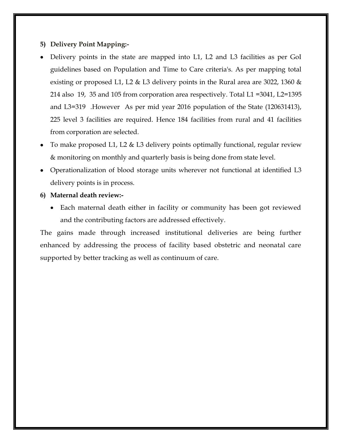#### **5) Delivery Point Mapping:-**

- Delivery points in the state are mapped into L1, L2 and L3 facilities as per GoI guidelines based on Population and Time to Care criteria's. As per mapping total existing or proposed L1, L2 & L3 delivery points in the Rural area are 3022, 1360 & 214 also 19, 35 and 105 from corporation area respectively. Total L1 =3041, L2=1395 and L3=319 .However As per mid year 2016 population of the State (120631413), 225 level 3 facilities are required. Hence 184 facilities from rural and 41 facilities from corporation are selected.
- To make proposed L1, L2 & L3 delivery points optimally functional, regular review & monitoring on monthly and quarterly basis is being done from state level.
- Operationalization of blood storage units wherever not functional at identified L3 delivery points is in process.
- **6) Maternal death review:-**
	- Each maternal death either in facility or community has been got reviewed and the contributing factors are addressed effectively.

The gains made through increased institutional deliveries are being further enhanced by addressing the process of facility based obstetric and neonatal care supported by better tracking as well as continuum of care.